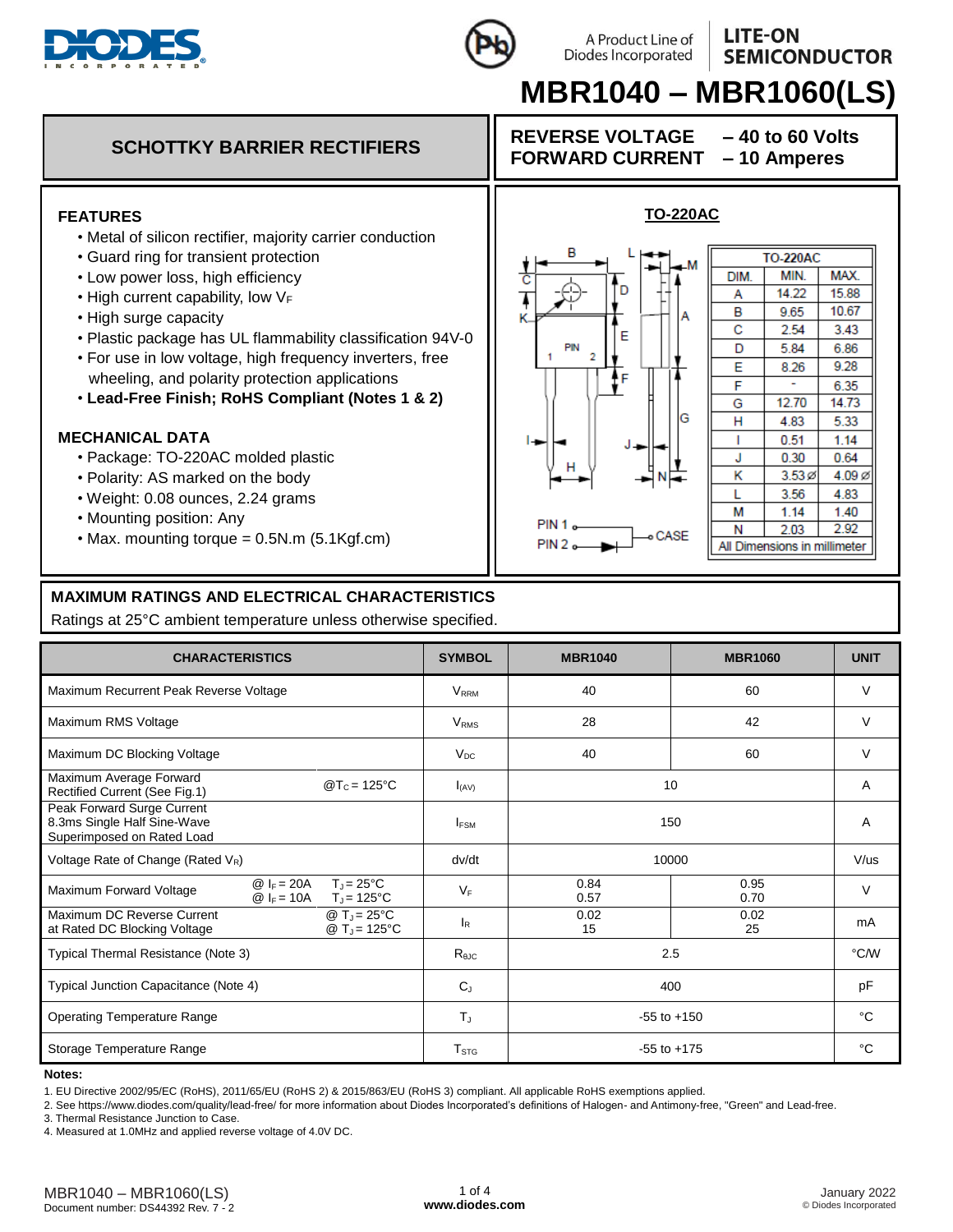

## **LITE-ON SEMICONDUCTOR**

# **MBR1040 – MBR1060(LS)**

A Product Line of Diodes Incorporated



#### **MAXIMUM RATINGS AND ELECTRICAL CHARACTERISTICS**

Ratings at 25°C ambient temperature unless otherwise specified.

| <b>CHARACTERISTICS</b>                                                                  |                              |                                           | <b>SYMBOL</b>          | <b>MBR1040</b>  | <b>MBR1060</b> | <b>UNIT</b> |
|-----------------------------------------------------------------------------------------|------------------------------|-------------------------------------------|------------------------|-----------------|----------------|-------------|
| Maximum Recurrent Peak Reverse Voltage                                                  |                              |                                           | <b>VRRM</b>            | 40              | 60             | $\vee$      |
| Maximum RMS Voltage                                                                     |                              |                                           | <b>V<sub>RMS</sub></b> | 28              | 42             | $\vee$      |
| Maximum DC Blocking Voltage                                                             |                              |                                           | $V_{DC}$               | 40              | 60             | $\vee$      |
| Maximum Average Forward<br>Rectified Current (See Fig.1)                                | $\omega T_c = 125^{\circ}C$  |                                           | $I_{(AV)}$             |                 | 10             |             |
| Peak Forward Surge Current<br>8.3ms Single Half Sine-Wave<br>Superimposed on Rated Load |                              |                                           | I <sub>FSM</sub>       |                 | 150            | A           |
| Voltage Rate of Change (Rated $V_R$ )                                                   |                              |                                           | dv/dt                  |                 | 10000          |             |
| Maximum Forward Voltage                                                                 | $@ _F = 20A$<br>$@I_F = 10A$ | $T_J = 25^{\circ}C$<br>$T_J = 125$ °C     | $V_F$                  | 0.84<br>0.57    | 0.95<br>0.70   | $\vee$      |
| Maximum DC Reverse Current<br>at Rated DC Blocking Voltage                              |                              | @ $T_J = 25^{\circ}C$<br>$@T_{J} = 125°C$ | $I_R$                  | 0.02<br>15      | 0.02<br>25     | mA          |
| Typical Thermal Resistance (Note 3)                                                     |                              | $R_{\theta$ JC                            | 2.5                    |                 | °C/W           |             |
| Typical Junction Capacitance (Note 4)                                                   |                              |                                           | $C_{J}$                | 400             |                | pF          |
| <b>Operating Temperature Range</b>                                                      |                              |                                           | $T_{\rm J}$            | $-55$ to $+150$ |                | °C          |
| Storage Temperature Range                                                               |                              | ${\sf T}_{\text{STG}}$                    | $-55$ to $+175$        |                 | °C             |             |

#### **Notes:**

1. EU Directive 2002/95/EC (RoHS), 2011/65/EU (RoHS 2) & 2015/863/EU (RoHS 3) compliant. All applicable RoHS exemptions applied.

2. See https://www.diodes.com/quality/lead-free/ for more information about Diodes Incorporated's definitions of Halogen- and Antimony-free, "Green" and Lead-free.

3. Thermal Resistance Junction to Case.

4. Measured at 1.0MHz and applied reverse voltage of 4.0V DC.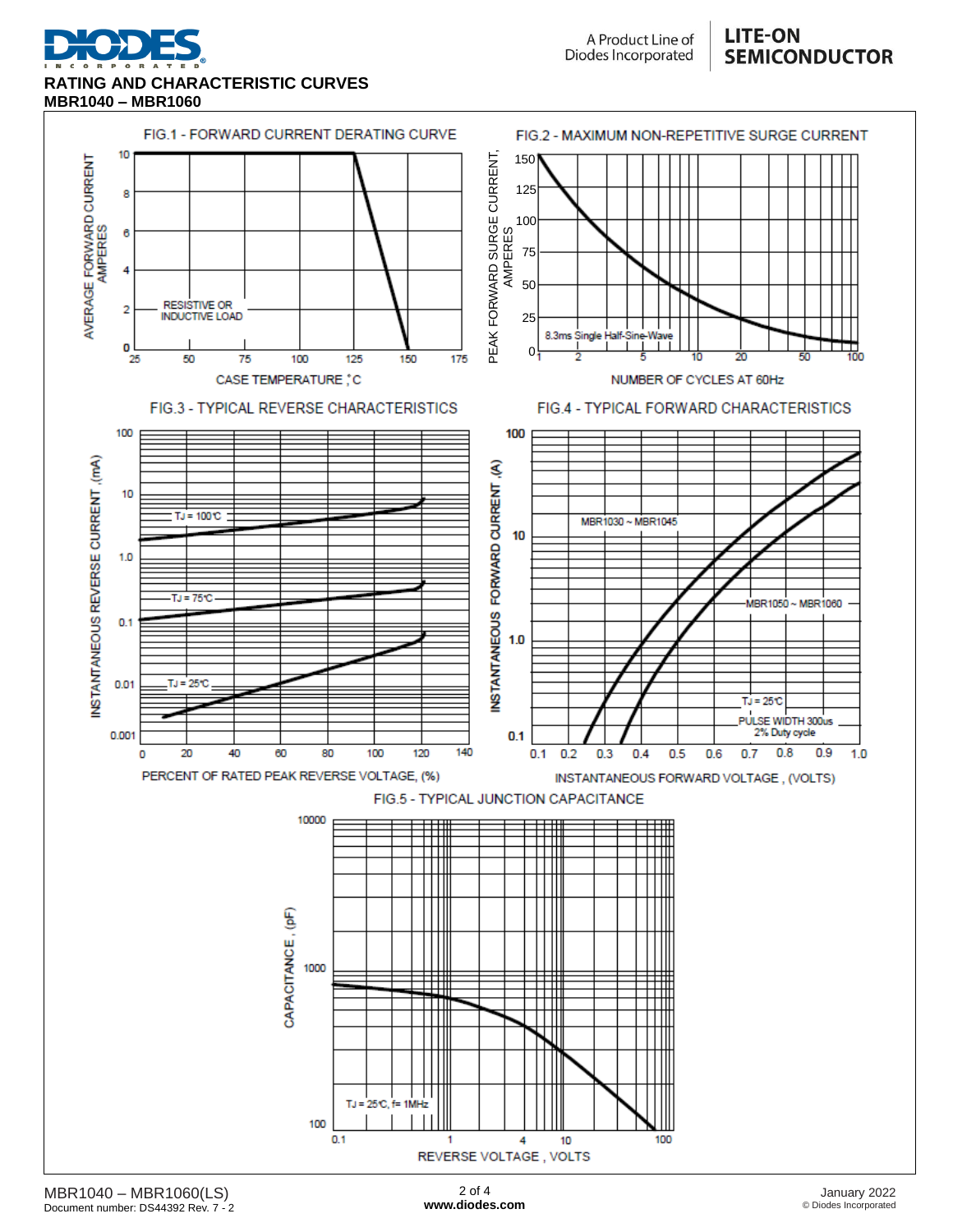

**RATING AND CHARACTERISTIC CURVES MBR1040 – MBR1060**

A Product Line of Diodes Incorporated

### **LITE-ON SEMICONDUCTOR**

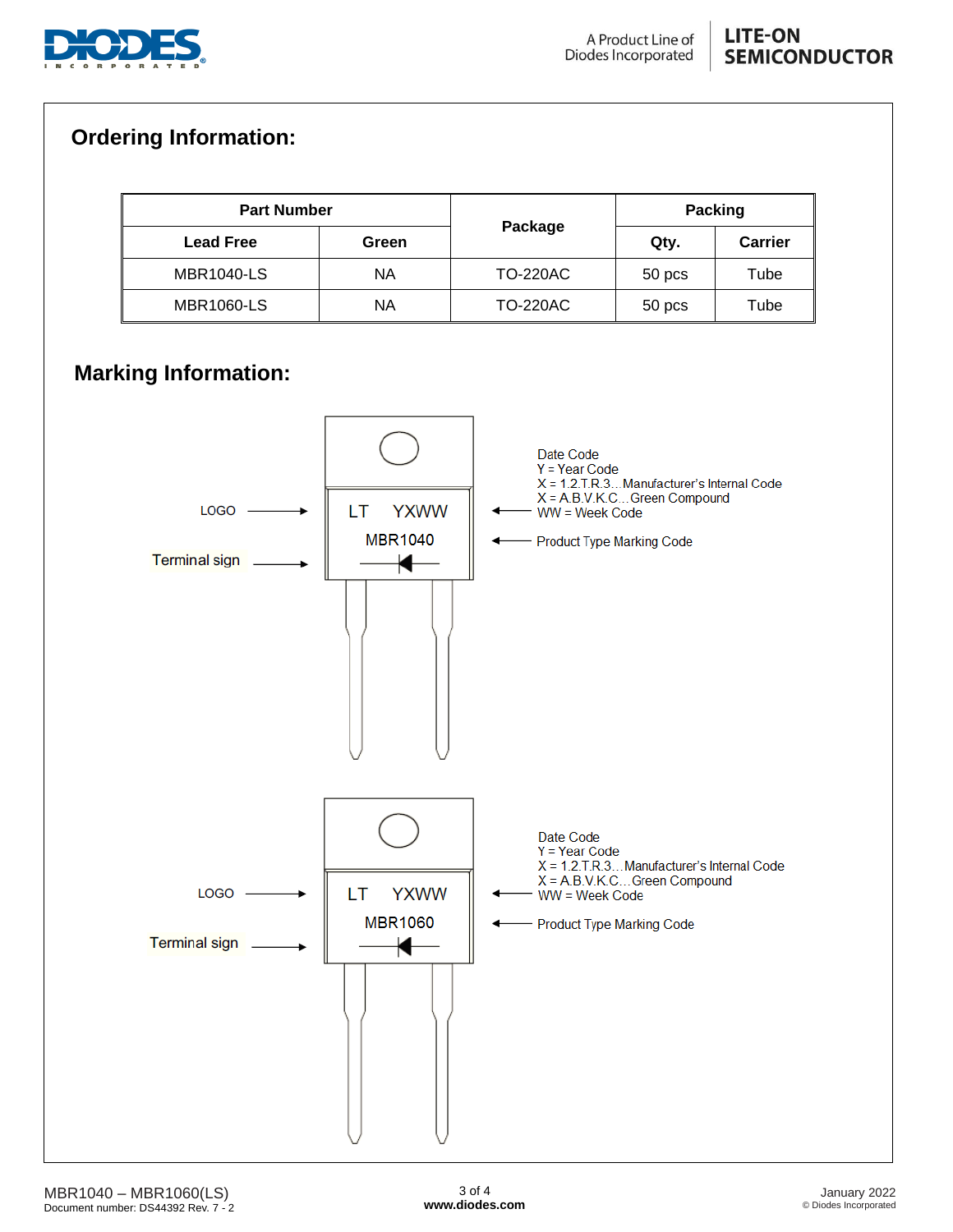

## **LITE-ON SEMICONDUCTOR**

## **Ordering Information:**

| <b>Part Number</b> |       |                 | <b>Packing</b> |                |
|--------------------|-------|-----------------|----------------|----------------|
| <b>Lead Free</b>   | Green | Package         | Qty.           | <b>Carrier</b> |
| <b>MBR1040-LS</b>  | ΝA    | <b>TO-220AC</b> | 50 pcs         | Tube           |
| <b>MBR1060-LS</b>  | ΝA    | <b>TO-220AC</b> | 50 pcs         | Tube           |

# **Marking Information:**